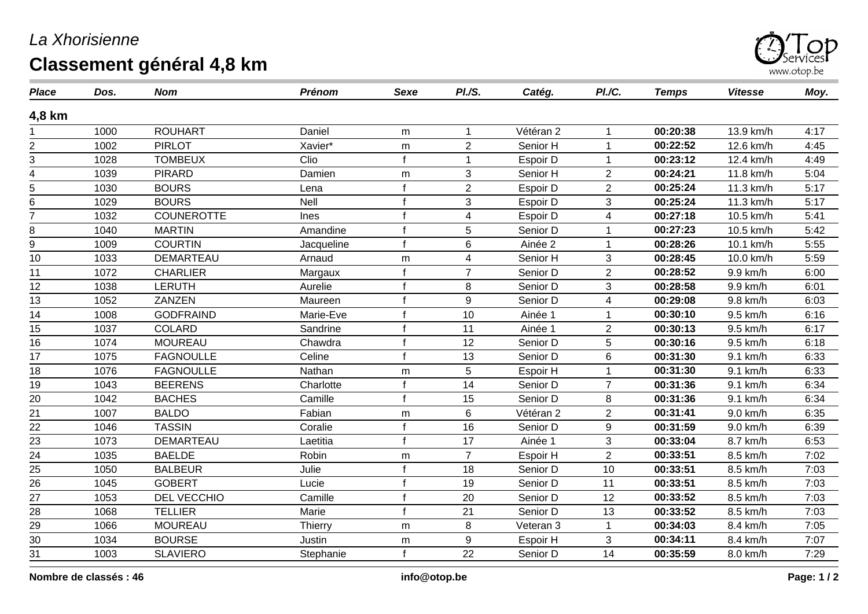## *La Xhorisienne* **Classement général 4,8 km**



| <b>Place</b>    | Dos. | <b>Nom</b>        | Prénom     | <b>Sexe</b>  | PI.S.                   | Catég.    | PI./C.                  | <b>Temps</b> | <b>Vitesse</b> | Moy. |
|-----------------|------|-------------------|------------|--------------|-------------------------|-----------|-------------------------|--------------|----------------|------|
| 4,8 km          |      |                   |            |              |                         |           |                         |              |                |      |
|                 | 1000 | <b>ROUHART</b>    | Daniel     | m            | $\overline{\mathbf{1}}$ | Vétéran 2 |                         | 00:20:38     | 13.9 km/h      | 4:17 |
| 2               | 1002 | <b>PIRLOT</b>     | Xavier*    | m            | $\overline{2}$          | Senior H  |                         | 00:22:52     | 12.6 km/h      | 4:45 |
| 3               | 1028 | <b>TOMBEUX</b>    | Clio       | f            |                         | Espoir D  |                         | 00:23:12     | 12.4 km/h      | 4:49 |
| 4               | 1039 | <b>PIRARD</b>     | Damien     | m            | 3                       | Senior H  | $\overline{2}$          | 00:24:21     | 11.8 km/h      | 5:04 |
| 5               | 1030 | <b>BOURS</b>      | Lena       | $\mathbf f$  | $\overline{2}$          | Espoir D  | $\overline{2}$          | 00:25:24     | 11.3 km/h      | 5:17 |
| 6               | 1029 | <b>BOURS</b>      | Nell       | $\mathbf f$  | 3                       | Espoir D  | 3                       | 00:25:24     | 11.3 km/h      | 5:17 |
|                 | 1032 | <b>COUNEROTTE</b> | Ines       | $\mathbf{f}$ | $\overline{\mathbf{4}}$ | Espoir D  | $\overline{4}$          | 00:27:18     | 10.5 km/h      | 5:41 |
| 8               | 1040 | <b>MARTIN</b>     | Amandine   | $\mathbf f$  | 5                       | Senior D  |                         | 00:27:23     | 10.5 km/h      | 5:42 |
| 9               | 1009 | <b>COURTIN</b>    | Jacqueline | $\mathbf f$  | $\,6\,$                 | Ainée 2   |                         | 00:28:26     | 10.1 km/h      | 5:55 |
| 10              | 1033 | DEMARTEAU         | Arnaud     | m            | 4                       | Senior H  | 3                       | 00:28:45     | 10.0 km/h      | 5:59 |
| 11              | 1072 | <b>CHARLIER</b>   | Margaux    | $\mathbf{f}$ | $\overline{7}$          | Senior D  | $\overline{2}$          | 00:28:52     | 9.9 km/h       | 6:00 |
| 12              | 1038 | <b>LERUTH</b>     | Aurelie    | $\mathbf f$  | 8                       | Senior D  | 3                       | 00:28:58     | 9.9 km/h       | 6:01 |
| 13              | 1052 | ZANZEN            | Maureen    | $\mathbf f$  | $\boldsymbol{9}$        | Senior D  | $\overline{\mathbf{4}}$ | 00:29:08     | 9.8 km/h       | 6:03 |
| 14              | 1008 | <b>GODFRAIND</b>  | Marie-Eve  | $\mathbf{f}$ | 10                      | Ainée 1   |                         | 00:30:10     | 9.5 km/h       | 6:16 |
| 15              | 1037 | <b>COLARD</b>     | Sandrine   | $\mathbf f$  | 11                      | Ainée 1   | $\overline{2}$          | 00:30:13     | 9.5 km/h       | 6:17 |
| 16              | 1074 | <b>MOUREAU</b>    | Chawdra    | $\mathbf{f}$ | 12                      | Senior D  | 5                       | 00:30:16     | 9.5 km/h       | 6:18 |
| 17              | 1075 | <b>FAGNOULLE</b>  | Celine     | $\mathbf{f}$ | 13                      | Senior D  | $\,6\,$                 | 00:31:30     | 9.1 km/h       | 6:33 |
| 18              | 1076 | <b>FAGNOULLE</b>  | Nathan     | m            | 5                       | Espoir H  |                         | 00:31:30     | 9.1 km/h       | 6:33 |
| 19              | 1043 | <b>BEERENS</b>    | Charlotte  |              | 14                      | Senior D  | $\overline{7}$          | 00:31:36     | 9.1 km/h       | 6:34 |
| 20              | 1042 | <b>BACHES</b>     | Camille    | $\mathbf{f}$ | 15                      | Senior D  | 8                       | 00:31:36     | 9.1 km/h       | 6:34 |
| $\overline{21}$ | 1007 | <b>BALDO</b>      | Fabian     | m            | 6                       | Vétéran 2 | $\overline{2}$          | 00:31:41     | 9.0 km/h       | 6:35 |
| $\overline{22}$ | 1046 | <b>TASSIN</b>     | Coralie    |              | 16                      | Senior D  | $9\,$                   | 00:31:59     | 9.0 km/h       | 6:39 |
| $\overline{23}$ | 1073 | DEMARTEAU         | Laetitia   | $\mathbf{f}$ | 17                      | Ainée 1   | 3                       | 00:33:04     | 8.7 km/h       | 6:53 |
| 24              | 1035 | <b>BAELDE</b>     | Robin      | m            | $\overline{7}$          | Espoir H  | $\overline{2}$          | 00:33:51     | 8.5 km/h       | 7:02 |
| 25              | 1050 | <b>BALBEUR</b>    | Julie      | $\mathbf{f}$ | 18                      | Senior D  | 10                      | 00:33:51     | 8.5 km/h       | 7:03 |
| 26              | 1045 | <b>GOBERT</b>     | Lucie      | $\mathbf{f}$ | 19                      | Senior D  | 11                      | 00:33:51     | 8.5 km/h       | 7:03 |
| 27              | 1053 | DEL VECCHIO       | Camille    | $\mathbf f$  | 20                      | Senior D  | 12                      | 00:33:52     | 8.5 km/h       | 7:03 |
| $\overline{28}$ | 1068 | <b>TELLIER</b>    | Marie      | $\mathbf f$  | $\overline{21}$         | Senior D  | $\overline{13}$         | 00:33:52     | 8.5 km/h       | 7:03 |
| 29              | 1066 | <b>MOUREAU</b>    | Thierry    | m            | 8                       | Veteran 3 |                         | 00:34:03     | 8.4 km/h       | 7:05 |
| 30              | 1034 | <b>BOURSE</b>     | Justin     | m            | 9                       | Espoir H  | 3                       | 00:34:11     | 8.4 km/h       | 7:07 |
| 31              | 1003 | <b>SLAVIERO</b>   | Stephanie  | $\mathbf{f}$ | 22                      | Senior D  | 14                      | 00:35:59     | 8.0 km/h       | 7:29 |